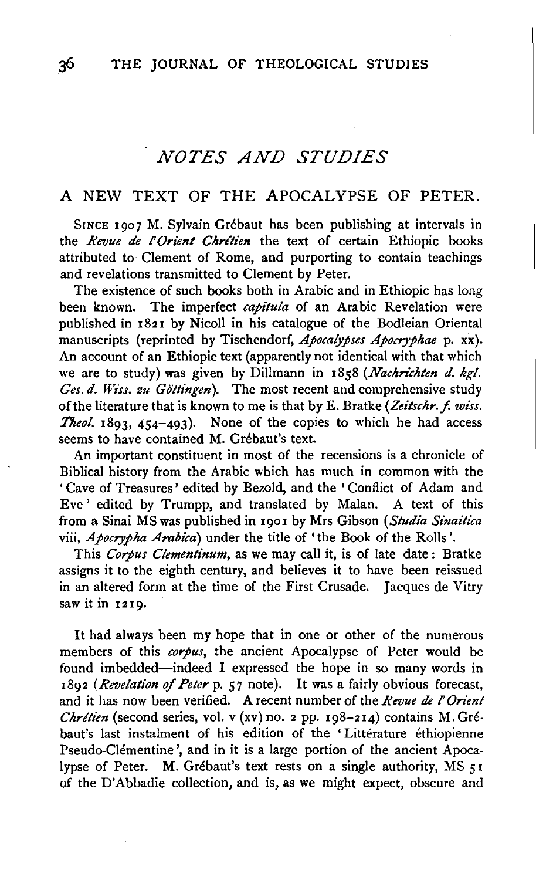## *NOTES AND STUDIES*

## A NEW TEXT OF THE APOCALYPSE OF PETER.

SINCE 1907 M. Sylvain Grébaut has been publishing at intervals in the *Revue de l'Orient Chrétien* the text of certain Ethiopic books attributed to Clement of Rome, and purporting to contain teachings and revelations transmitted to Clement by Peter.

The existence of such books both in Arabic and in Ethiopic has long been known. The imperfect *capitula* of an Arabic Revelation were The imperfect *capitula* of an Arabic Revelation were published in 1821 by Nicoll in his catalogue of the Bodleian Oriental manuscripts (reprinted by Tischendorf, *Apocalypses Apocryphae* p. xx). An account of an Ethiopic text (apparently not identical with that which we are to study) was given by Dillmann in 1858 *(Nachrichten d. kg!.*  Ges. d. Wiss. zu Göttingen). The most recent and comprehensive study of the literature that is known to me is that by E. Bratke *(Zeitschr. f. wiss. Theol.* 1893, 454-493). None of the copies to which he had access seems to have contained M. Grébaut's text.

An important constituent in most of the recensions is a chronicle of Biblical history from the Arabic which has much in common with the ' Cave of Treasures' edited by Bezold, and the 'Conflict of Adam and Eve ' edited by Trumpp, and translated by Malan. A text of this from a Sinai MS was published in 1901 by Mrs Gibson *(Studia Sinaitica*  viii, *Apocrypha Arabica*) under the title of 'the Book of the Rolls'.

This *Corpus Clementinum,* as we may call it, is of late date : Bratke assigns it to the eighth century, and believes it to have been reissued in an altered form at the time of the First Crusade. Jacques de Vitry saw it in 1219.

It had always been my hope that in one or other of the numerous members of this *corpus,* the ancient Apocalypse of Peter would be found imbedded-indeed I expressed the hope in so many words in 1892 *(Revelation* of *Peter* p. 57 note). It was a fairly obvious forecast, and it has now been verified. A recent number of the *Revue de l'Orient Chrétien* (second series, vol. v (xv) no. 2 pp. 198-214) contains M. Grébaut's last instalment of his edition of the 'Litterature ethiopienne Pseudo-Clémentine', and in it is a large portion of the ancient Apocalypse of Peter. M. Grébaut's text rests on a single authority,  $MS \leq t$ of the D'Abbadie collection, and is, as we might expect, obscure and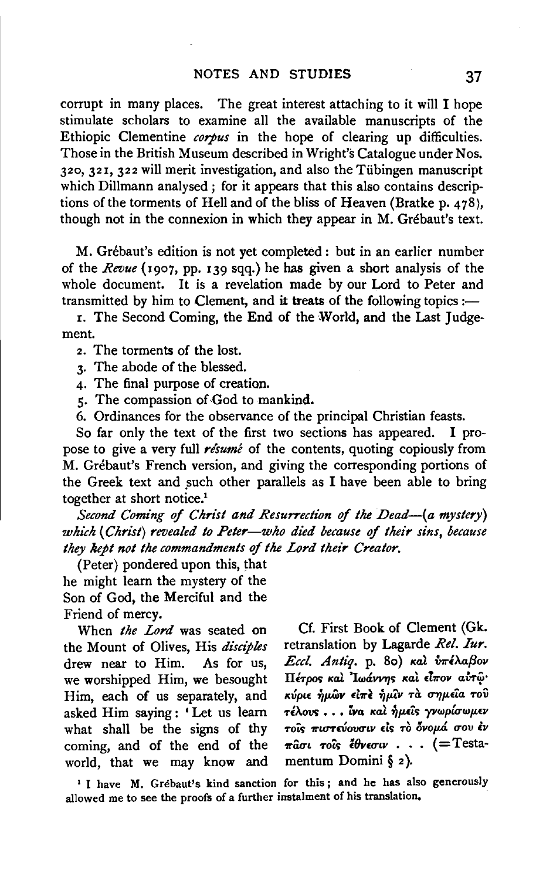corrupt in many places. The great interest attaching to it will I hope stimulate scholars to examine all the available manuscripts of the Ethiopic Clementine *corpus* in the hope of clearing up difficulties. Those in the British Museum described in Wright's Catalogue under Nos. 320, 321, 322 will merit investigation, and also the Tiibingen manuscript which Dillmann analysed ; for it appears that this also contains descriptions of the torments of Hell and of the bliss of Heaven (Bratke p. 478), though not in the connexion in which they appear in M. Grebaut's text.

M. Grébaut's edition is not yet completed : but in an earlier number of the *Revue* (1907, pp. 139 sqq.) he has given a short analysis of the whole document. It is a revelation made by our Lord to Peter and transmitted by him to Clement, and it treats of the following topics :-

r. The Second Coming, the End of the World, and the Last Judgement.

2. The torments of the lost.

3· The abode of the blessed.

4· The final purpose of creation.

5. The compassion of God to mankind.

6. Ordinances for the observance of the principal Christian feasts.

So far only the text of the first two sections has appeared. I propose to give a very full *résumé* of the contents, quoting copiously from M. Grebaut's French version, and giving the corresponding portions of the Greek text and such other parallels as I have been able to bring together at short notice.<sup>1</sup>

*Second Coming* of *Christ and Resurrection* of *the Dead-(a mystery) whii:h (Christ) revealed to Peter-who died because* of *their sins, because they kept not the commandments* of *the Lord their Creator.* 

 $(Peter)$  pondered upon this, that he might learn the mystery of the Son of God, the Merciful and the Friend of mercy.

When *the Lord* was seated on the Mount of Olives, His *disciples*  drew near to Him. As for us, we worshipped Him, we besought Him, each of us separately, and asked Him saying : ' Let us learn what shall be the signs of thy coming, and of the end of the world, that we may know and

Cf. First Book of Clement (Gk. retranslation by Lagarde *Re!. Iur. Eccl. Antiq. p. 80) και υπέλαβον* fliT~ *Kal 'lwd.VV11S Kal* €l7roV *awl{)· KVptε ήμων είπε ήμιν τα σημεία του* TiAOliS •• • *iva Kal* ~p.Ets *yvwpLuwp.EV* .... , . ' .. , . *TOLS 'lri.O"T€\!Oli(TW €LS TO OVOp.a UOV* EV  $\pi$  $\hat{a}$ *ou*  $\tau$ *ois éθveouv*  $\cdots$  (= Testamentum Domini § 2 ).

<sup>1</sup> I have M. Grébaut's kind sanction for this; and he has also generously allowed me to see the proofs of a further instalment of his translation.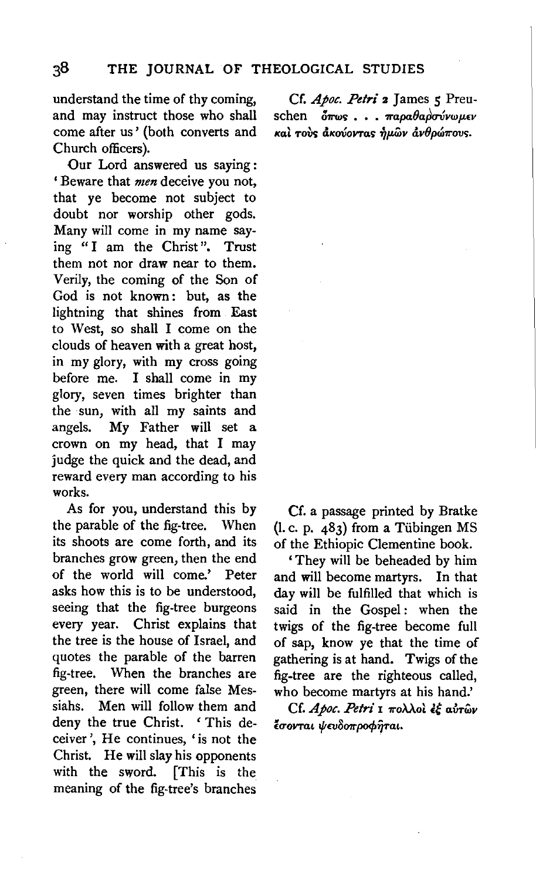understand the time of thy coming, and may instruct those who shall come after us' (both converts and Church officers).

Our Lord answered us saying : ' Beware that *men* deceive you not, that ye become not subject to doubt nor worship other gods. Many will come in my name saying "I am the Christ". Trust them not nor draw near to them. Verily, the coming of the Son of God is not known : but, as the lightning that shines from East to West, so shall I come on the clouds of heaven with a great host, in my glory, with my cross going before me. I shall come in my glory, seven times brighter than the sun, with all my saints and angels. My Father will set a crown on my head, that I may judge the quick and the dead, and reward every man according to his works.

As for you, understand this by the parable of the fig-tree. When its shoots are come forth, and its branches grow green, then the end of the world will come.' Peter asks how this is to be understood, seeing that the fig-tree burgeons every year. Christ explains that the tree is the house of Israel, and quotes the parable of the barren fig-tree. When the branches are green, there will come false Messiahs. Men will follow them and deny the true Christ. ' This deceiver ', He continues, 'is not the Christ. He will slay his opponents with the sword. [This is the meaning of the fig-tree's branches

Cf. *Apoc. Petri* 2 James *5* Preuschen δπως... παραθαρ*σύνωμεν* **και τους ακούοντας ήμων ανθρώπους.** 

Cf. a passage printed by Bratke (1. c. p. 483) from a Tiibingen MS of the Ethiopic Clementine book.

' They will be beheaded by him and will become martyrs. In that day will be fulfilled that which is said in the Gospel: when the twigs of the fig-tree become full of sap, know ye that the time of gathering is at hand. Twigs of the fig-tree are the righteous called, who become martyrs at his hand.'

Cf. *Apoc. Petri I* πολλοί έξ αύτων čoortai vevdonpooprai.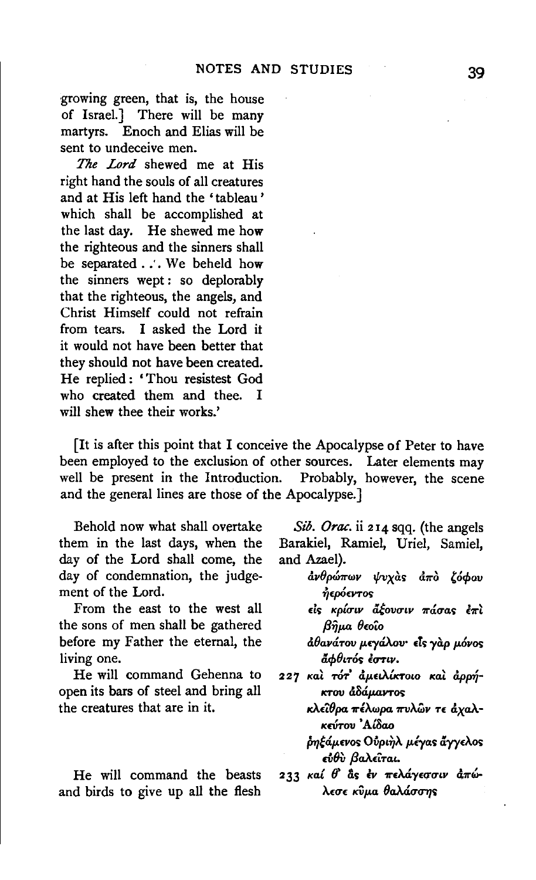growing green, that is, the house of Israel.] There will be many martyrs. Enoch and Elias will be sent to undeceive men.

*The Lord* shewed me at His right hand the souls of all creatures and at His left hand the 'tableau ' which shall be accomplished at the last day. He shewed me how the righteous and the sinners shall be separated . .'. We beheld how the sinners wept : so deplorably that the righteous, the angels, and Christ Himself could not refrain from tears. I asked the Lord it it would not have been better that they should not have been created. He replied : ' Thou resistest God who created them and thee. I will shew thee their works.'

[It is after this point that I conceive the Apocalypse of Peter to have been employed to the exclusion of other sources. Later elements may well be present in the Introduction. Probably, however, the scene well be present in the Introduction. and the general lines are those of the Apocalypse.]

Behold now what shall overtake them in the last days, when the day of the Lord shall come, the day of condemnation, the judgement of the Lord.

From the east to the west all the sons of men shall be gathered before my Father the eternal, the living one.

He will command Gehenna to open its bars of steel and bring all the creatures that are in it.

He will command the beasts and birds to give up all the flesh

*Sib. Orac.* ii 214 sqq. (the angels Barakiel, Ramiel, Uriel, Samiel, and Azael).

- *dνθρώπων ψυχάς απά ζόφου 1]€p6wro<;*
- *€l<; Kplrnv r'I.tovuw 1rrtuas l1rl {37] p.a 8€o'io*
- *d.BavaTov p.£Y&.>..ov·* £Is *yap p.6vos ăφθιτός εστιν.*
- 227 *Kal Tor duelAikTolo Kal appn-KTOV d.Brfp.aVTOS* 
	- κλεῖθρα πέλωρα πυλῶν τε ἀχαλ-*KMov 'Al8ao*
	- *imξάμενο*s Οὐριὴλ μέγαs ἄγγελοs *&Bil {3a'A€'iTat.*
- 233 καί θ' **α**ς έν πελάγεσσιν απώ-A€rT€ *KV p.a OaA&rrC17JS*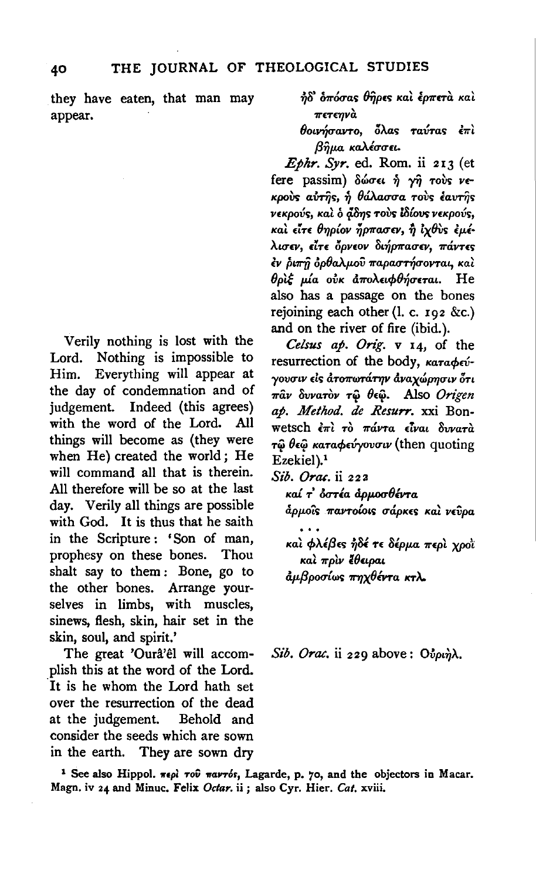they have eaten, that man may appear.

Verily nothing is lost with the Lord. Nothing is impossible to Him. Everything will appear at the day of condemnation and of judgement. Indeed (this agrees) with the word of the Lord. All things will become as (they were when He) created the world; He will command all that is therein. All therefore will be so at the last day. Verily all things are possible with God. It is thus that he saith in the Scripture: 'Son of man, prophesy on these bones. Thou shalt say to them: Bone, go to the other bones. Arrange yourselves in limbs, with muscles, sinews, flesh, skin, hair set in the skin, soul, and spirit.'

The great 'Ourâ'êl will accomplish this at the word of the Lord. It is he whom the Lord hath set over the resurrection of the dead at the judgement. Behold and consider the seeds which are sown in the earth. They are sown dry

- ήδ' όπόσας θήρες καὶ έρπετὰ καὶ πετεηνὰ
- θοινήσαντο, όλας ταύτας έπὶ βήμα καλέσσει.

Ephr. Syr. ed. Rom. ii 213 (et fere passim) δώσει ή γή τούς νεκρούς αύτης, ή θάλασσα τούς έαυτης νεκρούς, και ο άδης τους ιδίους νεκρούς, και είτε θηρίον ήρπασεν, ή ιχθυς έμέλισεν, εἶτε ὄρνεον διήρπασεν, πάντες έν ριπή ορθαλμοῦ παραστήσονται, καὶ θριξ μία ούκ απολειφθήσεται. Η ε also has a passage on the bones rejoining each other  $(l, c, r_92 \&c.)$ and on the river of fire (ibid.).

Celsus ap. Orig.  $v$  14, of the resurrection of the body, καταφεύγουσιν είς ατοπωτάτην αναχώρησιν ότι παν δυνατόν τω θεώ. Also Origen ap. Method. de Resurr. xxi Bonwetsch έπὶ τὸ πάντα εἶναι δυνατὰ τώ θεώ καταφεύγουσιν (then quoting Ezekiel).<sup>1</sup>

- Sib. Orac. ii 222
	- καί τ' όστέα άρμοσθέντα
	- άρμοΐς παντοίοις σάρκες και νεΰρα

καὶ φλέβες ἦδέ τε δέρμα περὶ χροῒ καὶ πρὶν ἔθειραι

άμβροσίως πηχθέντα κτλ.

Sib. Orac. ii 229 above: Ούριήλ.

<sup>1</sup> See also Hippol. Tepl Tov Tavrós, Lagarde, p. 70, and the objectors in Macar. Magn. iv 24 and Minuc. Felix Octar. ii; also Cyr. Hier. Cat. xviii.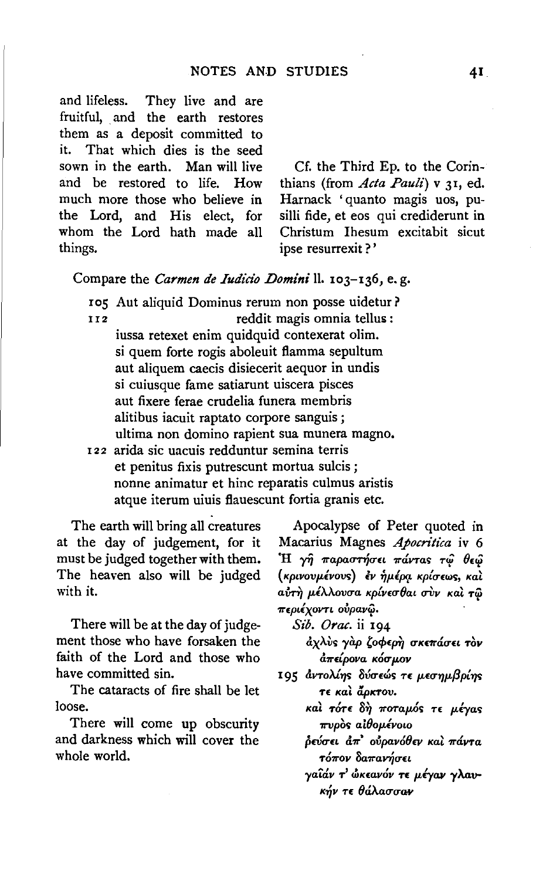and lifeless. They live and are fruitful, and the earth restores them as a deposit committed to it. That which dies is the seed sown in the earth. Man will live and be restored to life. How much more those who believe in the Lord, and His elect, for whom the Lord hath made all things.

Cf. the Third Ep. to the Corinthians (from *Acta Pauli*) v 31, ed. Harnack 'quanto magis uos, pusilli fide, et eos qui crediderunt in Christum Ihesum excitabit sicut ipse resurrexit?'

Compare the *Carmen de Iudicio Domini* ll. 103-136, e.g.

ros Aut aliquid Dominus rerum non posse uidetur? IT2 reddit magis omnia tellus: iussa retexet enim quidquid contexerat olim. si quem forte rogis aboleuit flamma sepultum aut aliquem caecis disiecerit aequor in undis si cuiusque fame satiarunt uiscera pisces aut fixere ferae crudelia funera membris alitibus iacuit raptato corpore sanguis ; ultima non domino rapient sua munera magno.

122 arida sic uacuis redduntur semina terris et penitus fixis putrescunt mortua sulcis ; nonne animatur et hinc reparatis culmus aristis atque iterum uiuis flauescunt fortia granis etc.

The earth will bring all creatures at the day of judgement, for it must be judged together with them. The heaven also will be judged with it.

There will be at the day of judgement those who have forsaken the faith of the Lord and those who have committed sin.

The cataracts of fire shall be let loose.

There will come up obscurity and darkness which will cover the whole world.

Apocalypse of Peter quoted in Macarius Magnes *Apocritica* iv 6  $H \gamma \hat{\eta}$  παραστήσει πάντας τω θεώ ( *Kptvovp.£vov<;;* ' ) , t: , " ' *£V 'YJP.£P?- Kptu£w<;;, Kat*  aυτή μέλλουσα κρίνεσθαι συν και τω *7r£ptixovTL ovpav4J.* 

*Sib. Orae.* ii 194

- $\frac{d}{dx}$ λύς γάρ ζοφερή σκεπάσει τον  $d\pi$ είρονα κόσμον
- 195 *άντολίης δύσεώς τε μεσημβρίης* Tε και άρκτου.
	- *Kaι τότε δη ποταμός τε μέγας 7rVPO'> alOop.lvow*
	- *p*εύσει απ' ουρανόθεν και πάντα *τόπον δαπανήσει*
	- *γ*αΐάν τ' ώκεανόν τε μέγαν γλαυ-K~v T£ *O&.Aauucw*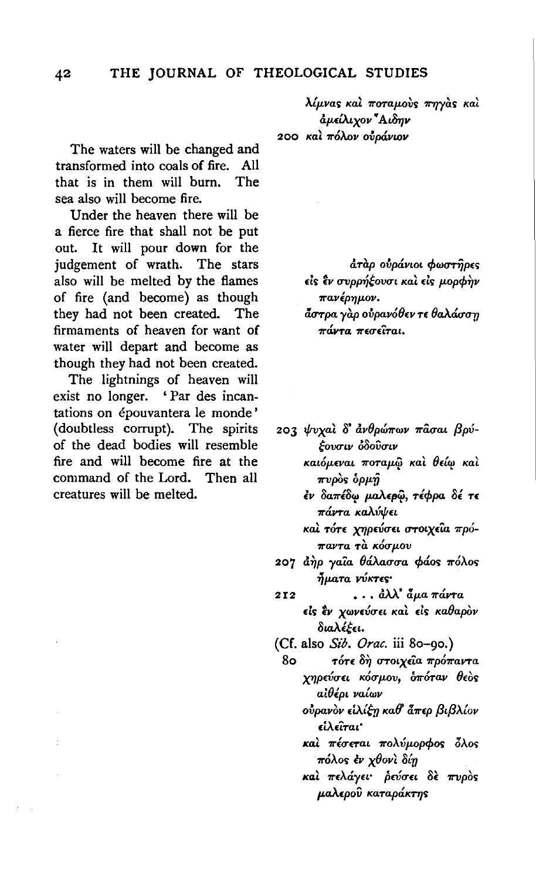The waters will be changed and transformed into coals of fire. All that is in them will burn. The sea also will become fire.

Under the heaven there will be a fierce fire that shall not be put out. It will pour down for the judgement of wrath. The stars also will be melted by the flames of fire (and become) as though they had not been created. The firmaments of heaven for want of water will depart and become as though they had not been created.

The lightnings of heaven will exist no longer. 'Par des incantations on épouvantera le monde' (doubtless corrupt). The spirits of the dead bodies will resemble fire and will become fire at the command of the Lord. Then all creatures will be melted.

λίμνας και ποταμούς πηγας και ἀμείλιχον <sup>\*</sup>Αιδην 200 καὶ πόλον οὐράνιον

> άταρ ουράνιοι φωστήρες είς έν συρρήξουσι και είς μορφην πανέρημον. ἄστρα γὰρ οὐρανόθεν τε θαλάσση πάντα πεσείται.

203 ψυχαί δ' άνθρώπων πάσαι βρύέουσιν όδουσιν

- καιόμεναι ποταμῶ καὶ θείω καὶ πυρὸς δρμ $\widehat{n}$
- έν δαπέδω μαλερῶ, τέφρα δέ τε πάντα καλύψει
- και τότε χηρεύσει στοιχεία πρόπαντα τα κόσμου

207 ἀὴρ γαῖα θάλασσα φάος πόλος ήματα νύκτες

 $\ldots$  ἀλλ' ẵμα πάντα 2 I 2 είς έν χωνεύσει και είς καθαρον διαλέξει.

(Cf. also Sib. Orac. iii 80-90.)

- 80 τότε δή στοιχεία πρόπαντα χηρεύσει κόσμου, οπόταν θεος αἰθέρι ναίων
	- ούρανὸν εἱλίξη καθ' ἄπερ βιβλίον είλεῖται
	- και πέσεται πολύμορφος δλος πόλος εν χθονι δίη
	- καὶ πελάγει· ρεύσει δε πυρὸς μαλερού καταράκτης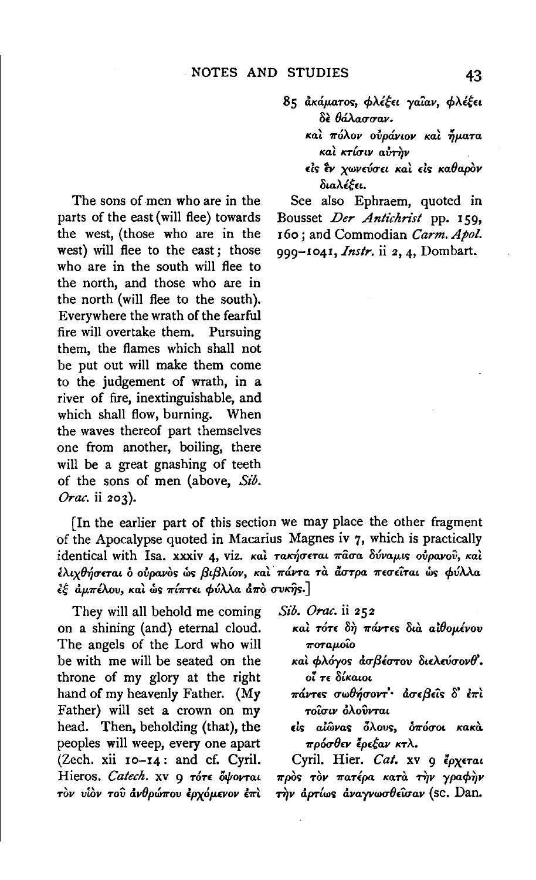The sons of men who are in the parts of the east (will flee) towards the west, (those who are in the west) will flee to the east; those who are in the south will flee to the north, and those who are in the north (will flee to the south). Everywhere the wrath of the fearful fire will overtake them. Pursuing them, the flames which shall not be put out will make them come to the judgement of wrath, in a river of fire, inextinguishable, and which shall flow, burning. When the waves thereof part themselves one from another, boiling, there

will be a great gnashing of teeth of the sons of men (above, Sib. Orac. ii 203).

[In the earlier part of this section we may place the other fragment of the Apocalypse quoted in Macarius Magnes iv 7, which is practically identical with Isa. xxxiv 4, viz. και τακήσεται πάσα δύναμις ουρανού, και έλιχθήσεται ο ούρανος ως βιβλίον, και πάντα τα άστρα πεσείται ως φύλλα εξ άμπέλου, καὶ ώς πίπτει φύλλα ἀπὸ συκῆς.]

They will all behold me coming on a shining (and) eternal cloud. The angels of the Lord who will be with me will be seated on the throne of my glory at the right hand of my heavenly Father. (My Father) will set a crown on my head. Then, beholding (that), the peoples will weep, every one apart (Zech. xii 10-14; and cf. Cyril. Hieros. Catech. xv 9 τότε όψονται τον υίον του άνθρώπου έρχόμενον έπι

- 85 ακάματος, φλέξει γαΐαν, φλέξει δε θάλασσαν.
	- καί πόλον ούράνιον καί ήματα καὶ κτίσιν αὐτὴν
	- είς έν χωνεύσει και είς καθαρον διαλέξει.

See also Ephraem, quoted in Bousset Der Antichrist pp. 159, 160; and Commodian Carm. Apol. 999-1041, Instr. ii 2, 4, Dombart.

Sib. Orac. ii 252

και τότε δη πάντες δια αιθομένου ποταμοΐο

- και φλόγος ασβέστου διελεύσονθ'. οί τε δίκαιοι
- πάντες σωθήσοντ' άσεβεῖς δ' ἐπὶ τοΐσιν όλοῦνται
- είς αίώνας δλους, δπόσοι κακά πρόσθεν έρεξαν κτλ.

Cyril. Hier. Cat. XV 9 έρχεται πρός τον πατέρα κατά την γραφήν την άρτίως άναγνωσθεΐσαν (sc. Dan.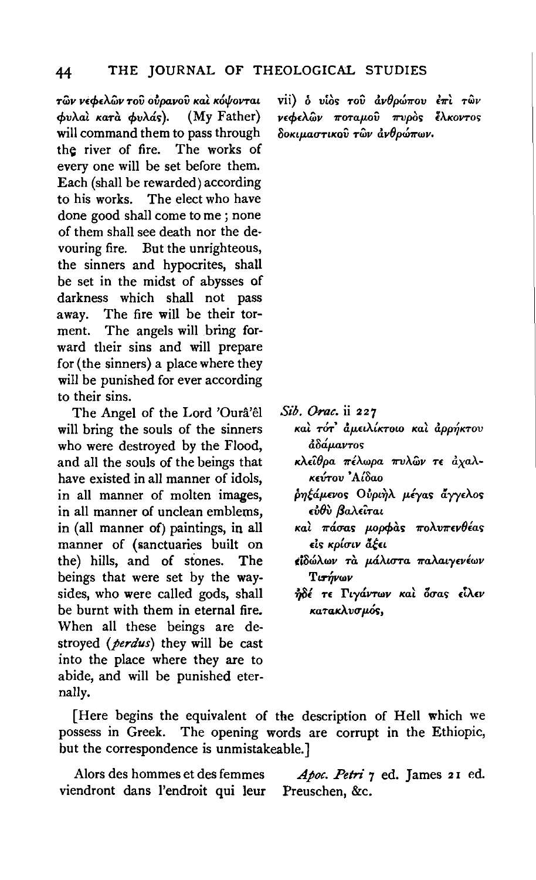τῶν νεφελῶν τοῦ οὐρανοῦ καὶ κόψονται φυλαί κατά φυλάς). (My Father) will command them to pass through the river of fire. The works of every one will be set before them. Each (shall be rewarded) according to his works. The elect who have done good shall come to me; none of them shall see death nor the devouring fire. But the unrighteous, the sinners and hypocrites, shall be set in the midst of abysses of darkness which shall not pass away. The fire will be their torment. The angels will bring forward their sins and will prepare for (the sinners) a place where they will be punished for ever according to their sins.

The Angel of the Lord 'Ourâ'êl will bring the souls of the sinners who were destroyed by the Flood, and all the souls of the beings that have existed in all manner of idols, in all manner of molten images, in all manner of unclean emblems, in (all manner of) paintings, in all manner of (sanctuaries built on the) hills, and of stones. The beings that were set by the waysides, who were called gods, shall be burnt with them in eternal fire. When all these beings are destroyed (perdus) they will be cast into the place where they are to abide, and will be punished eternally.

vii) δ υίος του ανθρώπου επι των νεφελών ποταμού πυρός έλκοντος δοκιμαστικού των ανθρώπων.

- Sib. Orac. ii 227
	- και τότ' αμειλίκτοιο και αρρήκτου άδάμαντος
	- κλείθρα πέλωρα πυλών τε άχαλκεύτου 'Αίδαο
	- δηξάμενος Ούριήλ μέγας άγγελος εὐθὺ βαλεῖται
	- και πάσας μορφας πολυπενθέας εἰς κρίσιν ἄξει
	- είδώλων τα μάλιστα παλαιγενέων Τιπήνων
	- ήδέ τε Γιγάντων και δσας είλεν κατακλυσμός,

[Here begins the equivalent of the description of Hell which we possess in Greek. The opening words are corrupt in the Ethiopic, but the correspondence is unmistakeable.]

Alors des hommes et des femmes viendront dans l'endroit qui leur

Apoc. Petri 7 ed. James 21 ed. Preuschen, &c.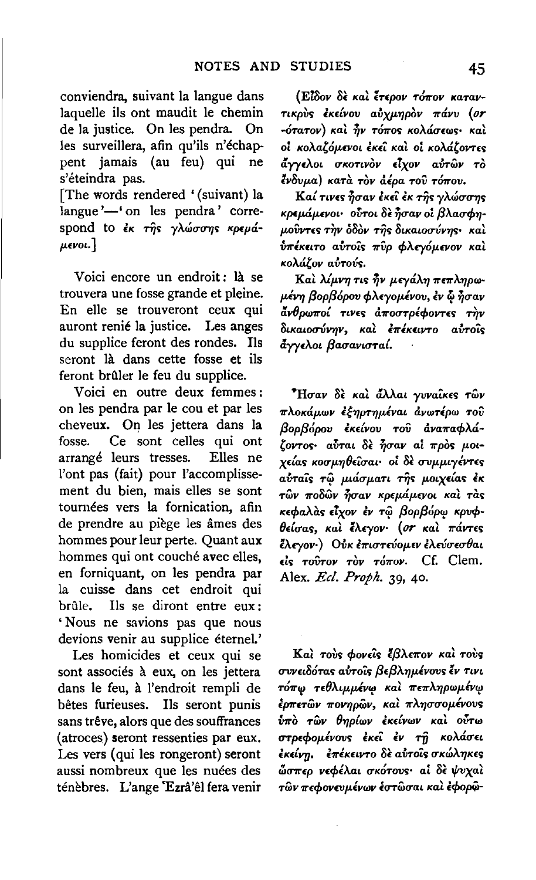conviendra, suivant la langue dans laquelle ils ont maudit le chemin de la justice. On les pendra. On les surveillera, afin qu'ils n'échappent jamais (au feu) qui ne s'éteindra pas. [The words rendered '(suivant) la langue '-' on les pendra ' corre-

spond to εκ της γλώσσης κρεμά-*JLEVot.]* 

Voici encore un endroit : la se trouvera une fosse grande et pleine. En elle se trouveront ceux qui auront renie la justice. Les anges du supplice feront des rondes. Ils seront là dans cette fosse et ils feront brûler le feu du supplice.

Voici en outre deux femmes : on les pendra par le cou et par les cheveux. On les jettera dans la fosse. Ce sont celles qui ont arrange leurs tresses. Elles ne l'ont pas (fait) pour l'accomplissement du bien, mais elles se sont tournées vers la fornication, afin de prendre au piege les ames des hommes pour leur perte. Quant aux hommes qui ont couché avec elles, en forniquant, on les pendra par la cuisse dans cet endroit qui brûle. Ils se diront entre eux: 'Nous ne savions pas que nous devions venir au supplice éternel.'

Les homicides et ceux qui se sont associés à eux, on les jettera dans le feu, a l'endroit rempli de betes furieuses. Ils seront punis sans trêve, alors que des souffrances (atroces) seront ressenties par eux. Les vers (qui les rongeront) seront aussi nombreux que les nuées des ténèbres. L'ange 'Ezrâ'êl fera venir

(Εΐδον δε και έτερον τόπον καταν-<br>τικρὺs εκείνου αυχμηρον πάνυ (*or -ότατον)* και ήν τόπος κολάσεως· και  $o$ *i κολαζόμενοι έκει και οι κολάζοντες* άγγελοι σκοτινὸν εἶχον αὐτῶν τὸ  $\bar{t}$ νδυμα) κατά τον άέρα του τόπου.

*Kαί τινες ήσαν έκει έκ της γλώσσης* κρεμάμενοι· ούτοι δε ήσαν οι βλασφη- $\mu$ ούντες την δδον της δικαιοσύνης· και *<i>bπέκειτο αυτοίς πύρ φλεγόμενον και KOλάζον αυτούς.* 

Kai λίμνη τις ήν μεγάλη πεπληρω- $\mu$ ένη βορβόρου φλεγομένου, έν φ ήσαν */J.v8pw'l!'o{ TLVt:'> d.'I!'OUTpEcpOVTE'> 7'1Jv*   $\delta$ ικαιοσύνην, καλ έπέκειντο αυτοίς II.'Y'YEAOt *{3auavtUTal.* 

 $^2$ Hoav δε καὶ ἄλλαι γυναῖκες τῶν  $\pi\lambda$ οκάμων έξηρτημέναι ανωτέρω του βορβόρου έκείνου του αναπαφλά-*CoVToo;•* a~Tat *8£* ~uav *ai 'l!'poo; JLOL-XE{ao; KOUJL1J8Ei.'uat· oi 8t UVJLJLLYEVTt:o;*  aύταίς τω μιάσματι της μοιχείας έκ  $\tau$ ων ποδών ήσαν κρεμάμενοι και τας  $\kappa$ εφαλάς είχον έν τ<u>ώ</u> βορβόρω κρυφ-*<sup>8</sup>*, ' ., ( ' , *nuao;, Kat* EI\.Eyov· *or Kat 'l!'aVTt:o;* ., ) 0. , , ., , *8* El\.f'YOV• *VK E'I!'LUTEVOJLEV* t:I\.EVUEU *at*  Elo; *-roii-rov -rov T01!'ov.* Cf. Clem. Alex. *Eel. Proph.* 39, 40.

Kai τους φονείς έβλεπον και τους *UVVt:t8oTao; awo1o; {3t:f3ATJJLEVOV'i: lv TtVt*   $\tau$ όπω τεθλιμμένω και πεπληρωμένω *lp7rETWV 'I!'OVTJpWV,* Ka~ *1!'ATJUUOJLEVOV'>*   $\delta$ πὸ τῶν θηρίων ἐκείνων καὶ οὖτω **στρεφομένους έκει έν τη κολάσει** ~Kt:lY(J• ~1!'tK£LVTO 8€ a~Tol,o; *UKWATJKE'> i Jσπερ νεφέλαι σκότους· ai δε ψυχαι -rwv 'l!'t:cpovruJLlvwv £UTwuat* Ka~ *lcpop(ir*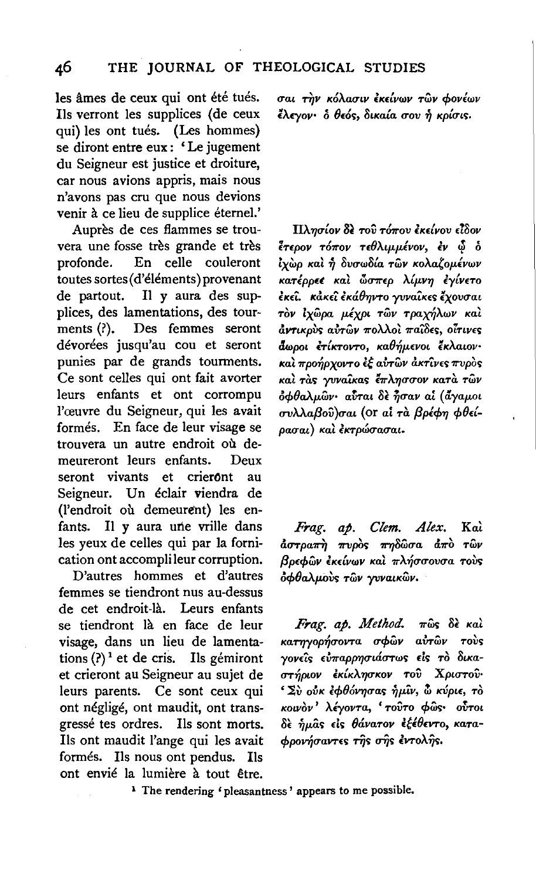les âmes de ceux qui ont été tués. Ils verront les supplices (de ceux qui) les ont tués. (Les hommes) se diront entre eux : 'Le jugement du Seigneur est justice et droiture, car nous avions appris, mais nous n'avons pas cru que nous devions venir à ce lieu de supplice éternel.'

Auprès de ces flammes se trouvera une fosse très grande et très profonde. En celle couleront toutes sortes (d'éléments) provenant de partout. Il y aura des supplices, des lamentations, des tourments  $(?)$ . Des femmes seront dévorées jusqu'au cou et seront punies par de grands tourments. Ce sont celles qui ont fait avorter leurs enfants et ont corrompu l'œuvre du Seigneur, qui les avait formés. En face de leur visage se trouvera un autre endroit où demeureront leurs enfants. Deux seront vivants et crieront au Seigneur. Un éclair viendra de (l'endroit où demeurent) les enfants. Il y aura une vrille dans les yeux de celles qui par la fornication ont accomplileur corruption.

D'autres hommes et d'autres femmes se tiendront nus au-dessus de cet endroit-là. Leurs enfants se tiendront là en face de leur visage, dans un lieu de lamentations  $(?)^1$  et de cris. Ils gémiront et crieront au Seigneur au sujet de leurs parents. Ce sont ceux qui ont négligé, ont maudit, ont transgressé tes ordres. Ils sont morts. Ils ont maudit l'ange qui les avait formés. Ils nous ont pendus. Ils ont envié la lumière à tout être. σαι τὴν κόλασιν ἐκείνων τῶν φονέων έλεγον· δ θεός, δικαία σου ή κρίσις.

Πλησίον δε του τόπου εκείνου είδον έτερον τόπον τεθλιμμένον, έν <u>φ</u> δ ίχὼρ καὶ ἡ δυσωδία τῶν κολαζομένων κατέρρεε και ὧσπερ λίμνη εγίνετο έκει. κάκει εκάθηντο γυναίκες έχουσαι τον ίχωρα μέχρι των τραχήλων και αντικρύς αύτων πολλοί παίδες, οίτινες άωροι ετίκτοντο, καθήμενοι έκλαιον· και προήρχοντο έξ αυτών άκτινες πυρος και τας γυναίκας έπλησσον κατά των δφθαλμών· αύται δε ήσαν αι (άγαμοι συλλαβού)σαι (Οι αί τα βρέφη φθείρασαι) και εκτρώσασαι.

Frag. ap. Clem. Alex. Kai άστραπή πυρός πηδώσα άπό τών βρεφών έκείνων και πλήσσουσα τους όφθαλμούς των γυναικών.

Frag. ap. Method.  $\pi$ ŵs dè kal κατηγορήσοντα σφῶν αὐτῶν τούς γονείς εύπαρρησιάστως είς το δικαστήριον εκίκλησκον του Χριστου. ' Συ ούκ εφθόνησας ήμιν, ω κύριε, το κοινόν' λέγοντα, 'τούτο φώς· ούτοι δε ήμας είς θάνατον εξέθεντο, καταφρονήσαντες της σης έντολης.

<sup>1</sup> The rendering 'pleasantness' appears to me possible.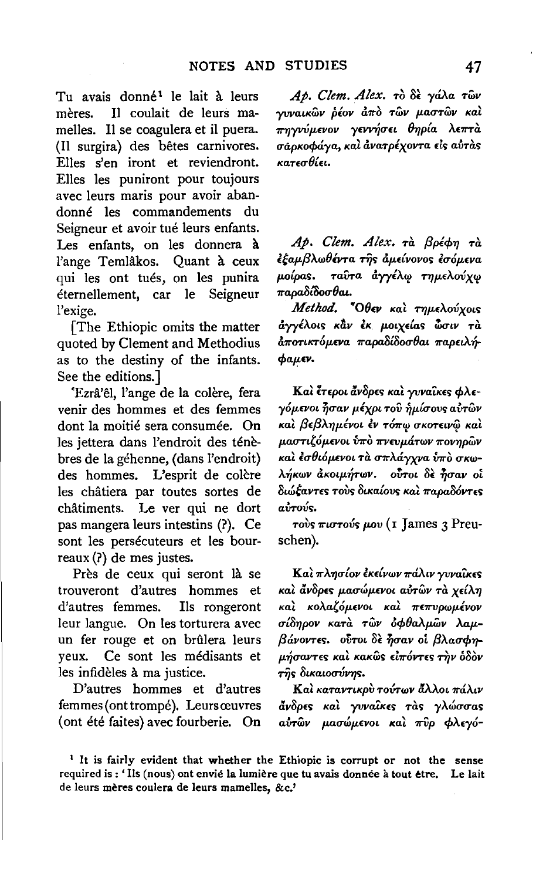Tu avais donné<sup>1</sup> le lait à leurs Il coulait de leurs mamères. melles. Il se coagulera et il puera. (Il surgira) des bêtes carnivores. Elles s'en iront et reviendront. Elles les puniront pour toujours avec leurs maris pour avoir abandonné les commandements du Seigneur et avoir tué leurs enfants. Les enfants, on les donnera à l'ange Temlâkos. Quant à ceux qui les ont tués, on les punira éternellement, car le Seigneur l'exige.

The Ethiopic omits the matter quoted by Clement and Methodius as to the destiny of the infants. See the editions.]

'Ezrâ'êl, l'ange de la colère, fera venir des hommes et des femmes dont la moitié sera consumée. On les jettera dans l'endroit des ténèbres de la géhenne, (dans l'endroit) des hommes. L'esprit de colère les châtiera par toutes sortes de châtiments. Le ver qui ne dort pas mangera leurs intestins (?). Ce sont les persécuteurs et les bour $reaux(?)$  de mes justes.

Près de ceux qui seront là se trouveront d'autres hommes et d'autres femmes. Ils rongeront leur langue. On les torturera avec un fer rouge et on brûlera leurs Ce sont les médisants et veux. les infidèles à ma justice.

D'autres hommes et d'autres femmes (ont trompé). Leurs œuvres (ont été faites) avec fourberie. On

Ap. Clem. Alex. το δε γάλα των γυναικῶν ῥέον ἀπὸ τῶν μαστῶν καὶ πηγνύμενον γεννήσει θηρία λεπτὰ σαρκοφάγα, και άνατρέχοντα είς αυτάς κατεσθίει.

Ap. Clem. Alex. τα βρέφη τα έξαμβλωθέντα τῆς ἀμείνονος ἐσόμενα ταύτα άγγέλω τημελούχω μοίρας.  $παραδίδοσθαι.$ 

Method. "Οθεν και τημελούχοις άγγέλοις κἂν ἐκ μοιχείας ὦσιν τὰ άποτικτόμενα παραδίδοσθαι παρειλήφαμεν.

Και έτεροι άνδρες και γυναίκες φλεγόμενοι ἦσαν μέχρι τοὓ ἡμίσους αὐτῶν καὶ βεβλημένοι ἐν τόπῳ σκοτεινῷ καὶ μαστιζόμενοι ύπὸ πνευμάτων πονηρῶν καὶ ἐσθιόμενοι τὰ σπλάγχνα ὑπὸ σκωλήκων άκοιμήτων. ούτοι δε ήσαν οί διώξαντες τους δικαίους και παραδόντες αὐτούς.

τούς πιστούς μου (1 James 3 Preuschen).

Και πλησίον εκείνων πάλιν γυναίκες καὶ ἄνδρες μασώμενοι αὐτῶν τὰ χείλη καὶ κολαζόμενοι καὶ πεπυρωμένον σίδηρον κατά τῶν ὀφθαλμῶν λαμβάνοντες. ούτοι δε ήσαν οι βλασφημήσαντες και κακώς ειπόντες την όδον της δικαιοσύνης.

Καί καταντικρύ τούτων άλλοι πάλιν άνδρες και γυναίκες τας γλώσσας αύτων μασώμενοι και πυρ φλεγό-

<sup>&</sup>lt;sup>1</sup> It is fairly evident that whether the Ethiopic is corrupt or not the sense required is : 'Ils (nous) ont envié la lumière que tu avais donnée à tout être. Le lait de leurs mères coulera de leurs mamelles, &c.'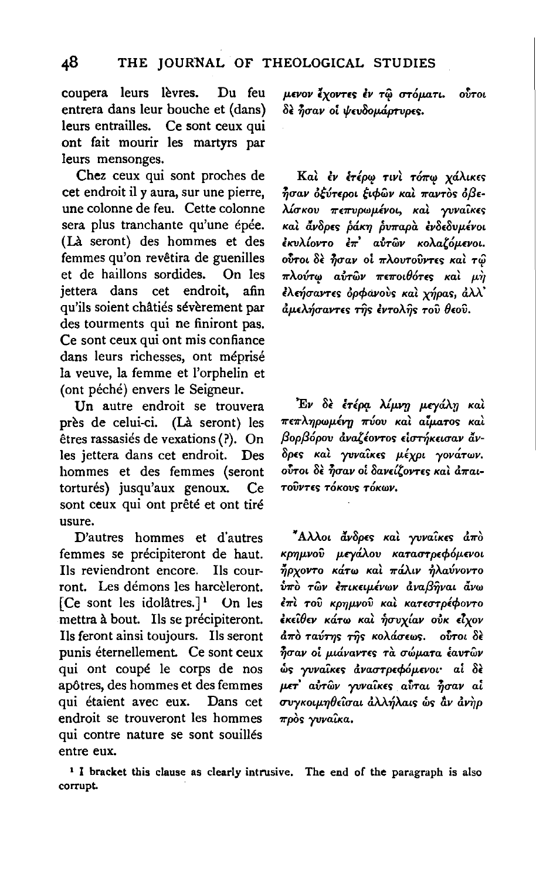coupera leurs lèvres. Du feu entrera dans leur bouche et (dans) leurs entrailles. Ce sont ceux qui ont fait mourir les martyrs par leurs mensonges.

Chez ceux qui sont proches de cet endroit il y aura, sur une pierre, une colonne de feu. Cette colonne sera plus tranchante qu'une épée. (Là seront) des hommes et des femmes qu'on revêtira de guenilles et de haillons sordides. On les iettera dans cet endroit. afin qu'ils soient châtiés sévèrement par des tourments qui ne finiront pas. Ce sont ceux qui ont mis confiance dans leurs richesses, ont méprisé la veuve, la femme et l'orphelin et (ont péché) envers le Seigneur.

Un autre endroit se trouvera près de celui-ci. (Là seront) les êtres rassasiés de vexations (?). On les jettera dans cet endroit. **Des** hommes et des femmes (seront torturés) jusqu'aux genoux. Ce sont ceux qui ont prêté et ont tiré usure.

D'autres hommes et d'autres femmes se précipiteront de haut. Ils reviendront encore. Ils courront. Les démons les harcèleront. [Ce sont les idolâtres.]<sup>1</sup> On les mettra à bout. Ils se précipiteront. Ils feront ainsi toujours. Ils seront punis éternellement. Ce sont ceux qui ont coupé le corps de nos apôtres, des hommes et des femmes qui étaient avec eux. Dans cet endroit se trouveront les hommes qui contre nature se sont souillés entre eux.

μενον έχοντες έν τω στόματι.  $o_{V}^{*}$ δε ήσαν οι ψευδομάρτυρες.

Και εν ετέρω τινι τόπω χάλικες ,<br>ήσαν όξύτεροι ξιφῶν καὶ παντὸς όβελίσκου πεπυρωμένοι, καὶ γυναῖκες και άνδρες ράκη ρυπαρα ενδεδυμένοι έκυλίοντο έπ' αύτων κολαζόμενοι. ούτοι δε ήσαν οι πλουτούντες και τώ πλούτω αυτών πεποιθότες και μη έλεήσαντες όρφανούς και χήρας, άλλ' άμελήσαντες της έντολης του θεου.

Έν δε έτέρα λίμνη μεγάλη και πεπληρωμένη πύου και αίματος και βορβόρου αναζέοντος είστήκεισαν άνδρες και γυναίκες μέχρι γονάτων. ούτοι δε ήσαν οι δανείζοντες και άπαιτούντες τόκους τόκων.

"Αλλοι άνδρες και γυναίκες άπο κρημνού μεγάλου καταστρεφόμενοι ήρχοντο κάτω και πάλιν ήλαύνοντο ύπὸ τῶν ἐπικειμένων ἀναβῆναι ἄνω έπι του κρημνου και κατεστρέφοντο έκειθεν κάτω και ήσυχίαν ούκ είχον άπο ταύτης της κολάσεως. ούτοι δέ ήσαν οι μιάναντες τα σώματα έαυτων ώς γυναίκες άναστρεφόμενοι· αί δέ μετ' αύτων γυναίκες αύται ήσαν αί συγκοιμηθείσαι άλλήλαις ως αν άνηρ πρός γυναίκα.

<sup>1</sup> I bracket this clause as clearly intrusive. The end of the paragraph is also corrupt.

48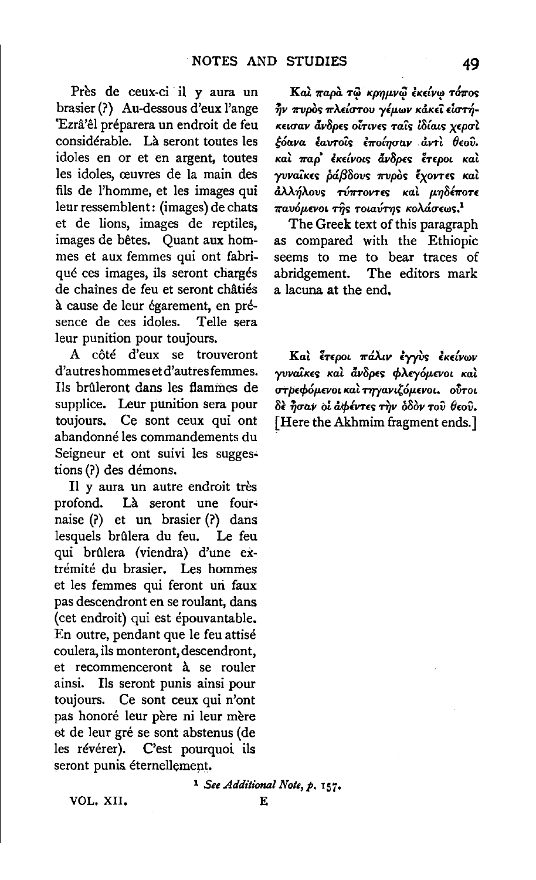Près de ceux-ci il y aura un brasier(?) Au-dessous d'eux l'ange 'Ezrâ'êl préparera un endroit de feu considerable. La seront toutes les idoles en or et en argent, toutes les idoles, œuvres de la main des fils de l'homme, et les images qui leur ressemblent: (images) de chats et de lions, images de reptiles, images de betes. Quant aux hommes et aux femmes qui ont fabriqué ces images, ils seront chargés de chaines de feu et seront chaties à cause de leur égarement, en pré-<br>sence de ces idoles. Telle sera sence de ces idoles. leur punition pour toujours.

A côté d'eux se trouveront d'a utres hommes et d'auttes femmes. Ils bruleront dans les fiamines de supplice. Leur punition sera pour toujours. Ce sont ceux qui ont abandonne les commandements du Seigneur et ont suivi les sugges• tions (?) des demons.

Il y aura un autre endroit tres profond. La seront une four• naise (?) et un brasier (?) dans lesquels brûlera du feu. Le feu qui brûlera (viendra) d'une extrémité du brasier. Les hommes et les femmes qui feront un faux pas descendront en se roulant, dam; (cet endroit) qui est épouvantable. En outre, pendant que le feu attise coulera, ils monteront, descendront, et recommenceront à se rouler ainsi. lis seront punis ainsi pour toujours. Ce sont ceux qui n'ont pas honoré leur père ni leur mère et de leur gré se sont abstenus (de les révérer). C'est pourquoi ils seront punis éternellement.

Kai παρά τω κρημνώ εκείνω τόπος ~v 111Jp0~ *7rA£lcrrov ylp.wv Kd.K£t* fWMJ**κεισαν άνδρες οίτινες ταίς ιδίαις χερσι** *eoava* faVToi~ *l7ro{71uav* d.VTl *(l£ov. Kal παρ' έκείνοις άνδρες έτεροι και*  $\gamma$ *υνα*ίκες ράβδους πυρός έχοντες και  $d\lambda\lambda\eta\lambda$ ους τύπτοντες και μηδέποτε  $\pi$ aυόμενοι της τοιαύτης κολάσεως.<sup>1</sup>

The Greek text of this paragraph as compared with the Ethiopic seems to me to bear traces of<br>abridgement. The editors mark The editors mark a lacuna at the end.

Kal ετεροι πάλιν έγγυς έκείνων *yvvaiK£'> KaL ll.v8p£s rpA£yop.wot* Kal ι<br>στρεφόμενοι καὶ τηγανιζόμενοι. οὖτοι  $\delta$ ε *ήσαν οι αφέντες την όδον του θεου.* [Here the Akhmim fragment ends.]

VOL. XII.

E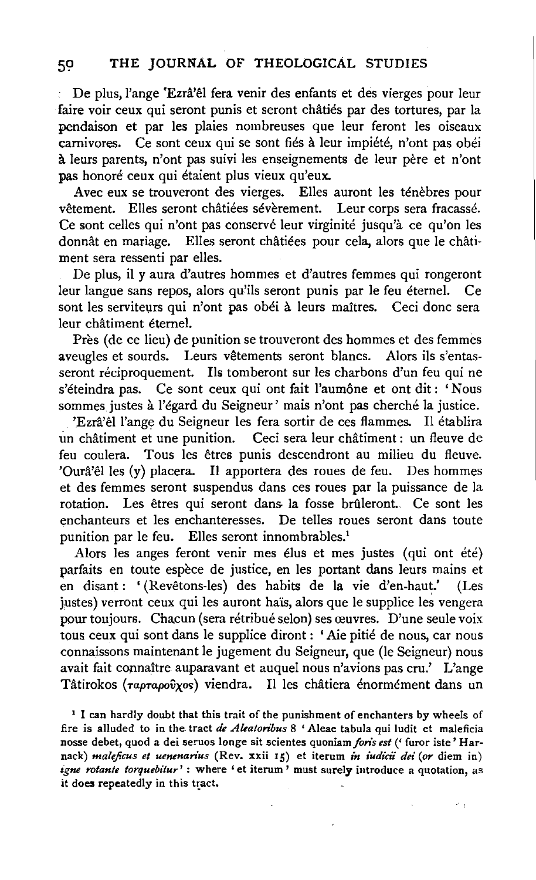De plus, l'ange 'Ezrâ'el fera venir des enfants et des vierges pour leur faire voir ceux qui seront punis et seront châtiés par des tortures, par la pendaison et par les plaies nombreuses que Ieur feront Ies oiseaux carnivores. Ce sont ceux qui se sont fiés à leur impiété, n'ont pas obéi à leurs parents, n'ont pas suivi les enseignements de leur père et n'ont pas honoré ceux qui étaient plus vieux qu'eux.

Avec eux se trouveront des vierges. Elles auront les ténèbres pour vêtement. Elles seront châtiées sévèrement. Leur corps sera fracassé. Ce sont celles qui n'ont pas conservé leur virginité jusqu'à ce qu'on les donnât en mariage. Elles seront châtiées pour cela, alors que le châtiment sera ressenti par elles.

De plus, il y aura d'autres hommes et d'autres femmes qui rongeront leur langue sans repos, alors qu'ils seront punis par le feu eternel. Ce sont les serviteurs qui n'ont pas obéi à leurs maîtres. Ceci donc sera leur châtiment éternel.

Près (de ce lieu) de punition se trouveront des hommes et des femmes aveugles et sourds. Leurs vêtements seront blancs. Alors ils s'entasseront réciproquement. Ils tomberont sur les charbons d'un feu qui ne s'éteindra pas. Ce sont ceux qui ont fait l'aumône et ont dit: 'Nous sommes justes à l'égard du Seigneur' mais n'ont pas cherché la justice.

'Ezrâ'el l'ange du Seigneur les fera sortir de ces flammes. Il établira un chatiment et une punition. Ceci sera leur chatiment: un fleuve de feu coulera. Tous les etres punis descendront au milieu du fleuve. 'Ourâ'el les (y) placera. Il apportera des roues de feu. Des hommes et des femmes seront suspendus dans ces roues par la puissance de la rotation. Les êtres qui seront dans la fosse brûleront. Ce sont les enchanteurs et les enchanteresses. De telles roues seront dans toute punition par le feu. Elles seront innombrables.<sup>1</sup>

Alors les anges feront venir mes élus et mes justes (qui ont été) parfaits en toute espece de justice, en les portant dans leurs mains et en disant: '(Revetons-les) des habits de la vie d'en-haut.' (Les justes) verront ceux qui les auront haïs, alors que le supplice les vengera pour toujours. Chacun (sera rétribué selon) ses œuvres. D'une seule voix tous ceux qui sont dans le supplice diront : 'Aie pitie de nous, car nous connaissons maintenant le jugement du Seigneur, que (le Seigneur) nous avait fait connaître auparavant et auquel nous n'avions pas cru.' L'ange Tâtirokos (*raprapovxos*) viendra. Il les châtiera enormement dans un

<sup>1</sup> I can hardly doubt that this trait of the punishment of enchanters by wheels of fire is alluded to in the tract *de Aleatoribus* 8 ' Aleae tabula qui ludit et maleficia nosse debet, quod a dei seruos longe sit scientes *quoniamforis est('* furor iste' Harnack) *maleficus et uenenarius* (Rev. xxii 15) et iterum *in iudicii dei (or* diem in) *igne rotante torquebitur'* : where 'et iterum' must surely introduce a quotation, as it does repeatedly in this tract.

×.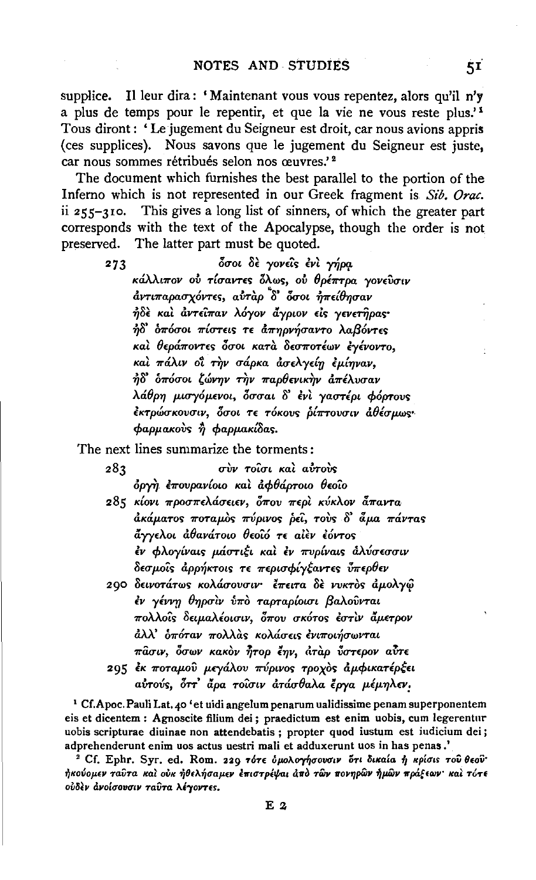supplice. Il leur dira: 'Maintenant vous vous repentez, alors qu'il n'y a plus de temps pour le repentir, et que la vie ne vous reste plus.'<sup>1</sup> Tous diront: 'Le jugement du Seigneur est droit, car nous avions appris (ces supplices). Nous savons que le jugement du Seigneur est juste, car nous sommes rétribués selon nos œuvres.'<sup>2</sup>

The document which furnishes the best parallel to the portion of the Inferno which is not represented in our Greek fragment is Sib. Orac. ii 255-310. This gives a long list of sinners, of which the greater part corresponds with the text of the Apocalypse, though the order is not preserved. The latter part must be quoted.

δσοι δε γονείς ενι γήρα  $273$ κάλλιπον ού τίσαντες όλως, ού θρέπτρα γονεύσιν άντιπαρασχόντες, αύτὰρ δ' δσοι ήπείθησαν ήδε και άντειπαν λόγον άγριον είς γενετήρας· ήδ' όπόσοι πίστεις τε άπηρνήσαντο λαβόντες και θεράποντες δσοι κατα δεσποτέων εγένοντο, και πάλιν οι την σάρκα ασελγείη εμίηναν, ήδ' όπόσοι ζώνην την παρθενικην απέλυσαν λάθρη μισγόμενοι, όσσαι δ' ένι γαστέρι φόρτους έκτρώσκουσιν, όσοι τε τόκους ρίπτουσιν άθέσμως· φαρμακούς ή φαρμακίδας.

The next lines summarize the torments:

σύν τοίσι και αυτούς  $283$ δργή έπουρανίοιο και αφθάρτοιο θεοίο

- 285 κίονι προσπελάσειεν, όπου περί κύκλον άπαντα ακάματος ποταμὸς πύρινος ῥεῖ, τοὺς δ' ἄμα πάντας άγγελοι άθανάτοιο θεοΐό τε αίεν εόντος έν φλογίναις μάστιξι και έν πυρίναις άλύσεσσιν δεσμοΐς αρρήκτοις τε περισφίγξαντες ύπερθεν
- 290 δεινοτάτως κολάσουσιν· έπειτα δε νυκτός άμολγώ έν γέννη θηρσιν ύπο ταρταρίοισι βαλούνται πολλοΐς δειμαλέοισιν, όπου σκότος έστιν άμετρον άλλ' δπόταν πολλάς κολάσεις ένιποιήσωνται πάσιν, όσων κακον ήτορ έην, αταρ ύστερον αύτε
- 295 έκ ποταμού μεγάλου πύρινος τροχός άμφικατέρξει αύτούς, όττ' άρα τοΐσιν ατάσθαλα έργα μέμηλεν.

<sup>1</sup> Cf. Apoc. Pauli Lat. 40 'et uidi angelum penarum ualidissime penam superponentem eis et dicentem : Agnoscite filium dei ; praedictum est enim uobis, cum legerentur uobis scripturae diuinae non attendebatis ; propter quod iustum est iudicium dei ; adprehenderunt enim uos actus uestri mali et adduxerunt uos in has penas.'

<sup>2</sup> Cf. Ephr. Syr. ed. Rom. 229 τότε δμολογήσουσιν ότι δικαία ή κρίσις του θεού· ήκούομεν ταῦτα καὶ οὐκ ἠθελήσαμεν ἐπιστρέψαι ἀπὸ τῶν πονηρῶν ἡμῶν πράξεων· καὶ τύτε ούδεν άνοίσουσιν ταύτα λέγοντες.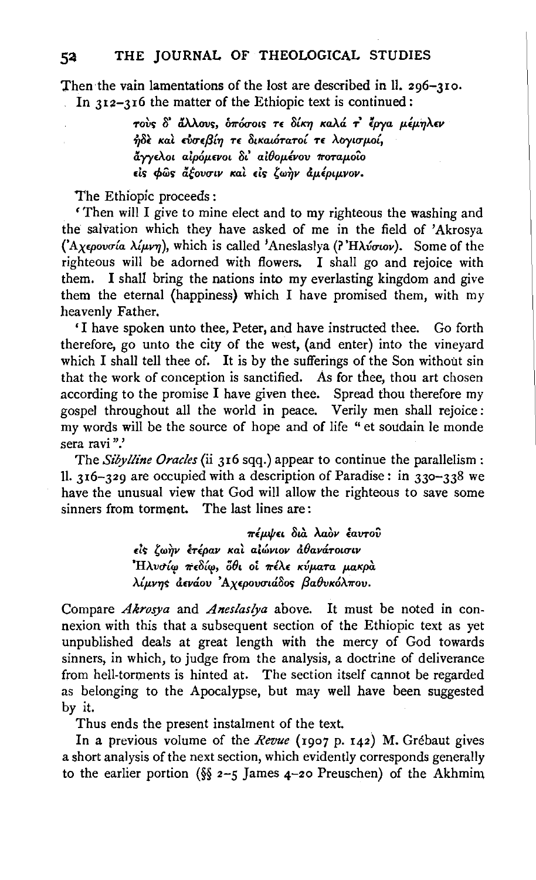Then the vain lamentations of the lost are described in ll. 296-310. In  $312 - 316$  the matter of the Ethiopic text is continued:

> $70$ *is*  $8$ ' aλλους, οπόσοις τε δίκη καλά τ' έργα μέμηλεν  $\eta$ δε και εύσεβίη τε δικαιότατοί τε λογισμοί, *ayy£.\ot aip6p.wot ot' ai8op.lvov 1f'OTap.ow*   $\epsilon$ is φως άξουσιν και εis ζωην αμέριμνον.

The Ethiopic proceeds:

'Then will I give to mine elect and to my righteous the washing and the salvation which they have asked of me in the field of 'Akrosya *('Ax£povcr{a ,\{p.v7J* ), which is called <sup>1</sup>Aneslaslya (? *'H,\vcrwv* ). Some of the righteous will be adorned with flowers. I shall go and rejoice with them. I shall bring the nations into my everlasting kingdom and give them the eternal (happiness) which I have promised them, with my heavenly Father.

'I have spoken unto thee, Peter, and have instructed thee. Go forth therefore, go unto the city of the west, (and enter) into the vineyard which I shall tell thee of. It is by the sufferings of the Son without sin that the work of conception is sanctified. As for thee, thou art chosen according to the promise I have given thee. Spread thou therefore my gospel throughout all the world in peace. Verily men shall rejoice: my words will be the source of hope and of life " et soudain le monde sera ravi ".'

The *Sibylline Oracles* (ii 316 sqq.) appear to continue the parallelism: 11.  $316 - 329$  are occupied with a description of Paradise: in  $330 - 338$  we have the unusual view that God will allow the righteous to save some sinners from torment. The last lines are:

> *7rtp.lf!n 8W. A«6v laVTov*   $\epsilon$ is ζωήν ετέραν και αιώνιον αθανάτοισιν *'Ηλυσίω πεδίω, <sup>5θι</sup> οι πέλε κύματα μακρα*  $\lambda$ ίμνης αενάου 'Αχερουσιάδος βαθυκόλπου.

Compare *Akrosya* and *Aneslaslya* above. It must be noted in connexion with this that a subsequent section of the Ethiopic text as yet unpublished deals at great length with the mercy of God towards sinners, in which, to judge from the analysis, a doctrine of deliverance from hell-torments is hinted at. The section itself cannot be regarded as belonging to the Apocalypse, but may well have been suggested by it.

Thus ends the present instalment of the text.

In a previous volume of the *Revue* (1907 p. 142) M. Grebaut gives a short analysis of the next section, which evidently corresponds generally to the earlier portion (§§ 2-5 James 4-20 Preuschen) of the Akhmim.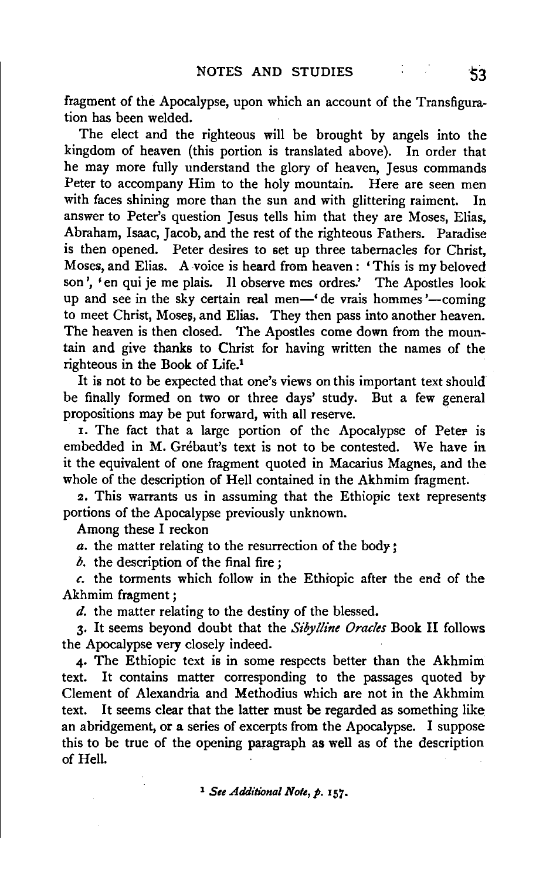fragment of the Apocalypse, upon which an account of the Transfiguration has been welded.

The elect and the righteous will be brought by angels into the kingdom of heaven (this portion is translated above). In order that he may more fully understand the glory of heaven, Jesus commands Peter to accompany Him to the holy mountain. Here are seen men with faces shining more than the sun and with glittering raiment. In answer to Peter's question Jesus tells him that they are Moses, Elias, Abraham, Isaac, Jacob, and the rest of the righteous Fathers. Paradise is then opened. Peter desires to set up three tabernacles for Christ, Moses, and Elias. A-voice is heard from heaven: 'This is my beloved son', 'en qui je me plais. Il observe mes ordres.' The Apostles look up and see in the sky certain real men-' de vrais hommes '-coming to meet Christ, Moses, and Elias. They then pass into another heaven. The heaven is then closed. The Apostles come down from the mountain and give thanks to Christ for having written the names of the righteous in the Book of Life.<sup>1</sup>

It is not to be expected that one's views on this important text should be finally formed on two or three days' study. But a few general propositions may be put forward, with all reserve.

r. The fact that a large portion of the Apocalypse of Peter is embedded in M. Grébaut's text is not to be contested. We have in it the equivalent of one fragment quoted in Macarius Magnes, and the whole of the description of Hell contained in the Akhmim fragment.

2. This warrants us in assuming that the Ethiopic text represents portions of the Apocalypse previously unknown.

Among these I reckon

*a.* the matter relating to the resurrection of the body;

*b.* the description of the final fire *;* 

*c.* the torments which follow in the Ethiopic after the end of the Akhmim fragment *;* 

d. the matter relating to the destiny of the blessed.

3· It seems beyond doubt that the *Sibylline Oracles* Book II follows the Apocalypse very closely indeed.

4· The Ethiopic text is in some respects better than the Akhmim text. It contains matter corresponding to the passages quoted by Clement of Alexandria and Methodius which are not in the Akhmim text. It seems clear that the latter must be regarded as something like an abridgement, or a series of excerpts from the Apocalypse. I suppose this to be true of the opening paragraph as well as of the description of Hell.